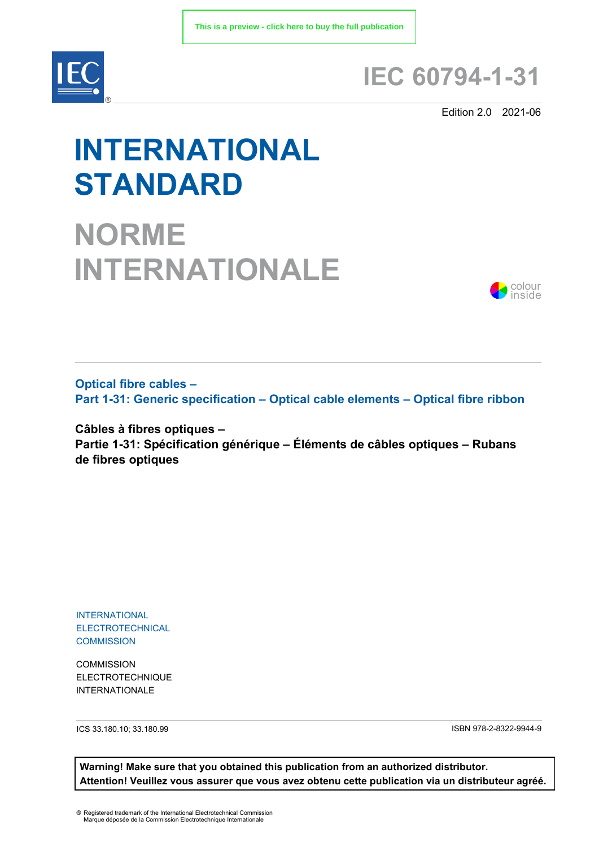

# **IEC 60794-1-31**

Edition 2.0 2021-06

# **INTERNATIONAL STANDARD**

**NORME INTERNATIONALE**



**Optical fibre cables – Part 1-31: Generic specification – Optical cable elements – Optical fibre ribbon**

**Câbles à fibres optiques – Partie 1-31: Spécification générique – Éléments de câbles optiques – Rubans de fibres optiques**

INTERNATIONAL ELECTROTECHNICAL **COMMISSION** 

**COMMISSION** ELECTROTECHNIQUE INTERNATIONALE

ICS 33.180.10; 33.180.99 ISBN 978-2-8322-9944-9

**Warning! Make sure that you obtained this publication from an authorized distributor. Attention! Veuillez vous assurer que vous avez obtenu cette publication via un distributeur agréé.**

® Registered trademark of the International Electrotechnical Commission Marque déposée de la Commission Electrotechnique Internationale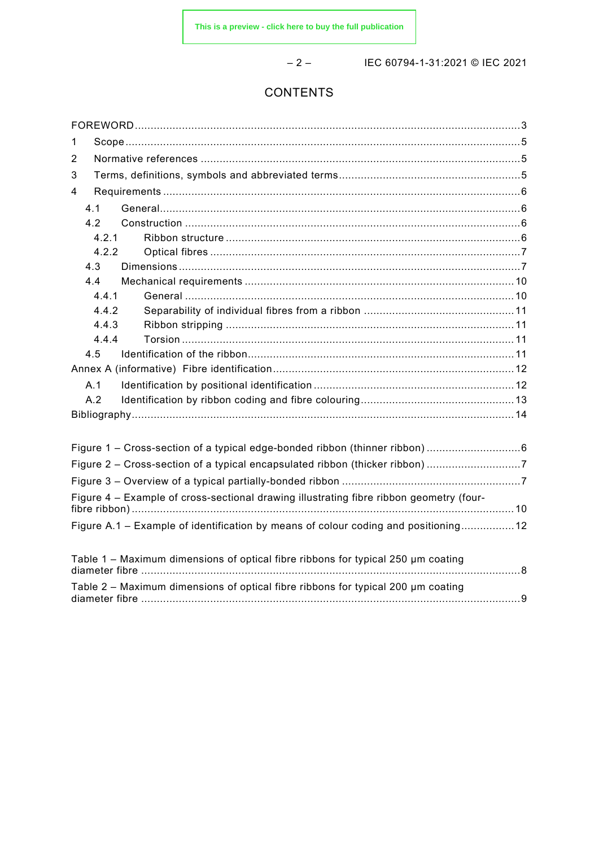$-2-$ 

IEC 60794-1-31:2021 © IEC 2021

# **CONTENTS**

| 1                                                                                       |  |
|-----------------------------------------------------------------------------------------|--|
| 2                                                                                       |  |
| 3                                                                                       |  |
| 4                                                                                       |  |
| 4.1                                                                                     |  |
| 4.2                                                                                     |  |
| 4.2.1                                                                                   |  |
| 4.2.2                                                                                   |  |
| 4.3                                                                                     |  |
| 4.4                                                                                     |  |
| 4.4.1                                                                                   |  |
| 4.4.2                                                                                   |  |
| 4.4.3                                                                                   |  |
| 4.4.4                                                                                   |  |
| 4.5                                                                                     |  |
|                                                                                         |  |
| A.1                                                                                     |  |
| A.2                                                                                     |  |
|                                                                                         |  |
|                                                                                         |  |
| Figure 2 - Cross-section of a typical encapsulated ribbon (thicker ribbon) 7            |  |
|                                                                                         |  |
| Figure 4 - Example of cross-sectional drawing illustrating fibre ribbon geometry (four- |  |
| Figure A.1 – Example of identification by means of colour coding and positioning12      |  |
| Table 1 - Maximum dimensions of optical fibre ribbons for typical 250 µm coating        |  |
| Table 2 - Maximum dimensions of optical fibre ribbons for typical 200 µm coating        |  |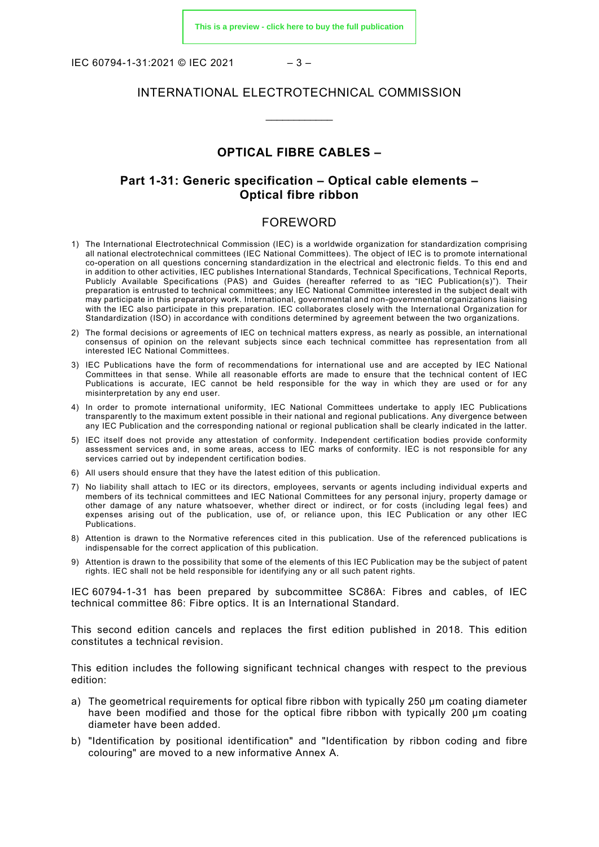IEC 60794-1-31:2021 © IEC 2021  $-3-$ 

#### INTERNATIONAL ELECTROTECHNICAL COMMISSION

\_\_\_\_\_\_\_\_\_\_\_\_

## **OPTICAL FIBRE CABLES –**

## **Part 1-31: Generic specification – Optical cable elements – Optical fibre ribbon**

#### FOREWORD

- <span id="page-2-0"></span>1) The International Electrotechnical Commission (IEC) is a worldwide organization for standardization comprising all national electrotechnical committees (IEC National Committees). The object of IEC is to promote international co-operation on all questions concerning standardization in the electrical and electronic fields. To this end and in addition to other activities, IEC publishes International Standards, Technical Specifications, Technical Reports, Publicly Available Specifications (PAS) and Guides (hereafter referred to as "IEC Publication(s)"). Their preparation is entrusted to technical committees; any IEC National Committee interested in the subject dealt with may participate in this preparatory work. International, governmental and non-governmental organizations liaising with the IEC also participate in this preparation. IEC collaborates closely with the International Organization for Standardization (ISO) in accordance with conditions determined by agreement between the two organizations.
- 2) The formal decisions or agreements of IEC on technical matters express, as nearly as possible, an international consensus of opinion on the relevant subjects since each technical committee has representation from all interested IEC National Committees.
- 3) IEC Publications have the form of recommendations for international use and are accepted by IEC National Committees in that sense. While all reasonable efforts are made to ensure that the technical content of IEC Publications is accurate, IEC cannot be held responsible for the way in which they are used or for any misinterpretation by any end user.
- 4) In order to promote international uniformity, IEC National Committees undertake to apply IEC Publications transparently to the maximum extent possible in their national and regional publications. Any divergence between any IEC Publication and the corresponding national or regional publication shall be clearly indicated in the latter.
- 5) IEC itself does not provide any attestation of conformity. Independent certification bodies provide conformity assessment services and, in some areas, access to IEC marks of conformity. IEC is not responsible for any services carried out by independent certification bodies.
- 6) All users should ensure that they have the latest edition of this publication.
- 7) No liability shall attach to IEC or its directors, employees, servants or agents including individual experts and members of its technical committees and IEC National Committees for any personal injury, property damage or other damage of any nature whatsoever, whether direct or indirect, or for costs (including legal fees) and expenses arising out of the publication, use of, or reliance upon, this IEC Publication or any other IEC Publications.
- 8) Attention is drawn to the Normative references cited in this publication. Use of the referenced publications is indispensable for the correct application of this publication.
- 9) Attention is drawn to the possibility that some of the elements of this IEC Publication may be the subject of patent rights. IEC shall not be held responsible for identifying any or all such patent rights.

IEC 60794-1-31 has been prepared by subcommittee SC86A: Fibres and cables, of IEC technical committee 86: Fibre optics. It is an International Standard.

This second edition cancels and replaces the first edition published in 2018. This edition constitutes a technical revision.

This edition includes the following significant technical changes with respect to the previous edition:

- a) The geometrical requirements for optical fibre ribbon with typically 250 µm coating diameter have been modified and those for the optical fibre ribbon with typically 200 µm coating diameter have been added.
- b) "Identification by positional identification" and "Identification by ribbon coding and fibre colouring" are moved to a new informative Annex A.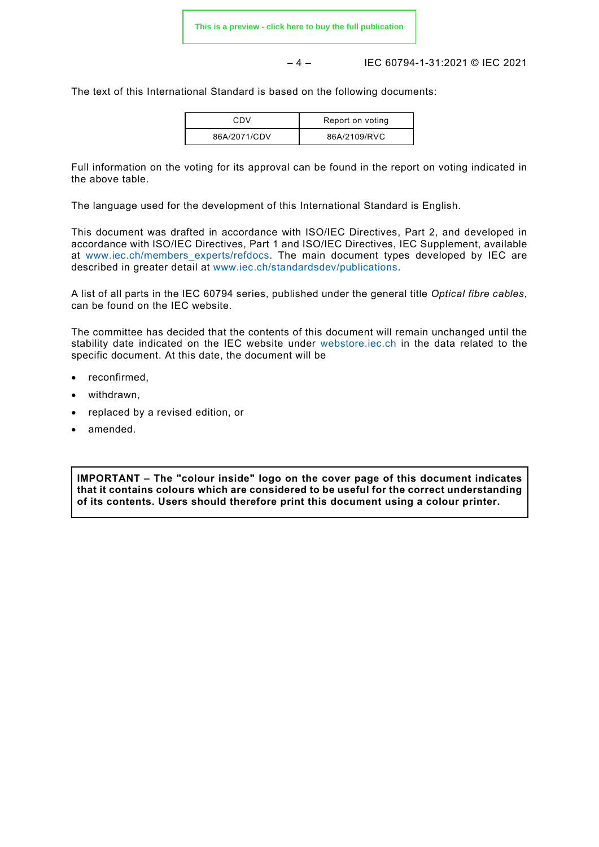– 4 – IEC 60794-1-31:2021 © IEC 2021

The text of this International Standard is based on the following documents:

| CDV          | Report on voting |
|--------------|------------------|
| 86A/2071/CDV | 86A/2109/RVC     |

Full information on the voting for its approval can be found in the report on voting indicated in the above table.

The language used for the development of this International Standard is English.

This document was drafted in accordance with ISO/IEC Directives, Part 2, and developed in accordance with ISO/IEC Directives, Part 1 and ISO/IEC Directives, IEC Supplement, available at [www.iec.ch/members\\_experts/refdocs.](http://www.iec.ch/members_experts/refdocs) The main document types developed by IEC are described in greater detail at [www.iec.ch/standardsdev/publications.](http://www.iec.ch/standardsdev/publications)

A list of all parts in the IEC 60794 series, published under the general title *Optical fibre cables*, can be found on the IEC website.

The committee has decided that the contents of this document will remain unchanged until the stability date indicated on the IEC website under [webstore.iec.ch](https://webstore.iec.ch/?ref=menu) in the data related to the specific document. At this date, the document will be

- reconfirmed,
- withdrawn,
- replaced by a revised edition, or
- amended.

**IMPORTANT – The "colour inside" logo on the cover page of this document indicates that it contains colours which are considered to be useful for the correct understanding of its contents. Users should therefore print this document using a colour printer.**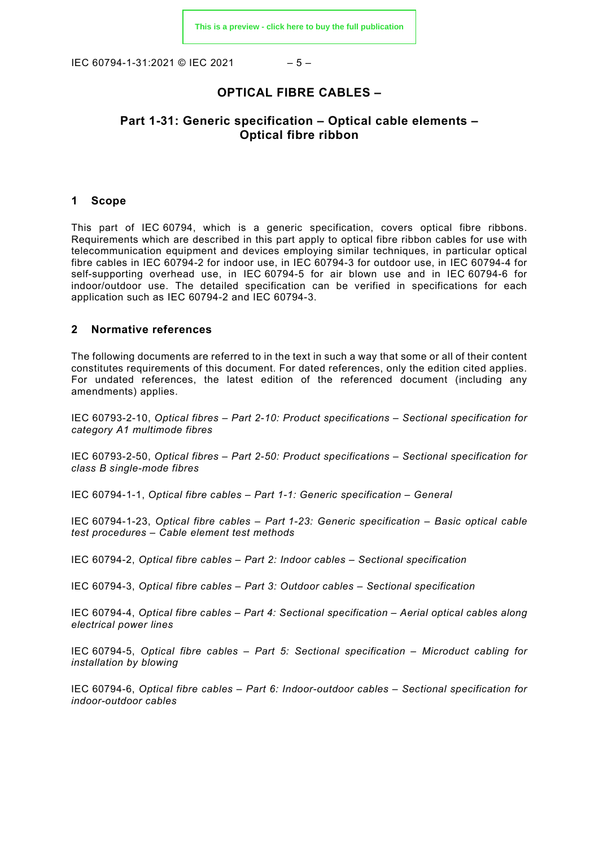IEC 60794-1-31:2021 © IEC 2021 – 5 –

# **OPTICAL FIBRE CABLES –**

# **Part 1-31: Generic specification – Optical cable elements – Optical fibre ribbon**

#### <span id="page-4-0"></span>**1 Scope**

This part of IEC 60794, which is a generic specification, covers optical fibre ribbons. Requirements which are described in this part apply to optical fibre ribbon cables for use with telecommunication equipment and devices employing similar techniques, in particular optical fibre cables in IEC 60794-2 for indoor use, in IEC 60794-3 for outdoor use, in IEC 60794-4 for self-supporting overhead use, in IEC 60794-5 for air blown use and in IEC 60794-6 for indoor/outdoor use. The detailed specification can be verified in specifications for each application such as IEC 60794-2 and IEC 60794-3.

#### <span id="page-4-1"></span>**2 Normative references**

The following documents are referred to in the text in such a way that some or all of their content constitutes requirements of this document. For dated references, only the edition cited applies. For undated references, the latest edition of the referenced document (including any amendments) applies.

IEC 60793-2-10, *Optical fibres – Part 2-10: Product specifications – Sectional specification for category A1 multimode fibres*

IEC 60793-2-50, *Optical fibres – Part 2-50: Product specifications – Sectional specification for class B single-mode fibres*

IEC 60794-1-1, *Optical fibre cables – Part 1-1: Generic specification – General*

IEC 60794-1-23, *Optical fibre cables – Part 1-23: Generic specification – Basic optical cable test procedures – Cable element test methods*

IEC 60794-2, *Optical fibre cables – Part 2: Indoor cables – Sectional specification*

IEC 60794-3, *Optical fibre cables – Part 3: Outdoor cables – Sectional specification*

IEC 60794-4, *Optical fibre cables – Part 4: Sectional specification – Aerial optical cables along electrical power lines*

IEC 60794-5, *Optical fibre cables – Part 5: Sectional specification – Microduct cabling for installation by blowing*

<span id="page-4-2"></span>IEC 60794-6, *Optical fibre cables – Part 6: Indoor-outdoor cables – Sectional specification for indoor-outdoor cables*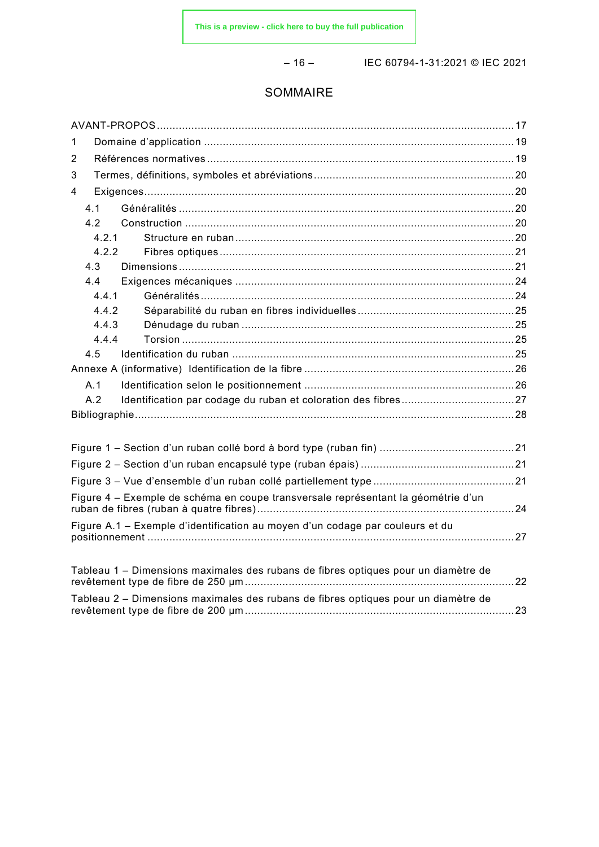– 16 – IEC 60794-1-31:2021 © IEC 2021

# SOMMAIRE

| 1                                                                                  |  |
|------------------------------------------------------------------------------------|--|
| 2                                                                                  |  |
| 3                                                                                  |  |
| 4                                                                                  |  |
| 4.1                                                                                |  |
| 4.2                                                                                |  |
| 4.2.1                                                                              |  |
| 4.2.2                                                                              |  |
| 4.3                                                                                |  |
| 4.4                                                                                |  |
| 4.4.1                                                                              |  |
| 4.4.2                                                                              |  |
| 4.4.3                                                                              |  |
| 4.4.4                                                                              |  |
| 4.5                                                                                |  |
|                                                                                    |  |
| A.1                                                                                |  |
| A.2                                                                                |  |
|                                                                                    |  |
|                                                                                    |  |
|                                                                                    |  |
|                                                                                    |  |
| Figure 4 – Exemple de schéma en coupe transversale représentant la géométrie d'un  |  |
| Figure A.1 - Exemple d'identification au moyen d'un codage par couleurs et du      |  |
| Tableau 1 – Dimensions maximales des rubans de fibres optiques pour un diamètre de |  |
| Tableau 2 - Dimensions maximales des rubans de fibres optiques pour un diamètre de |  |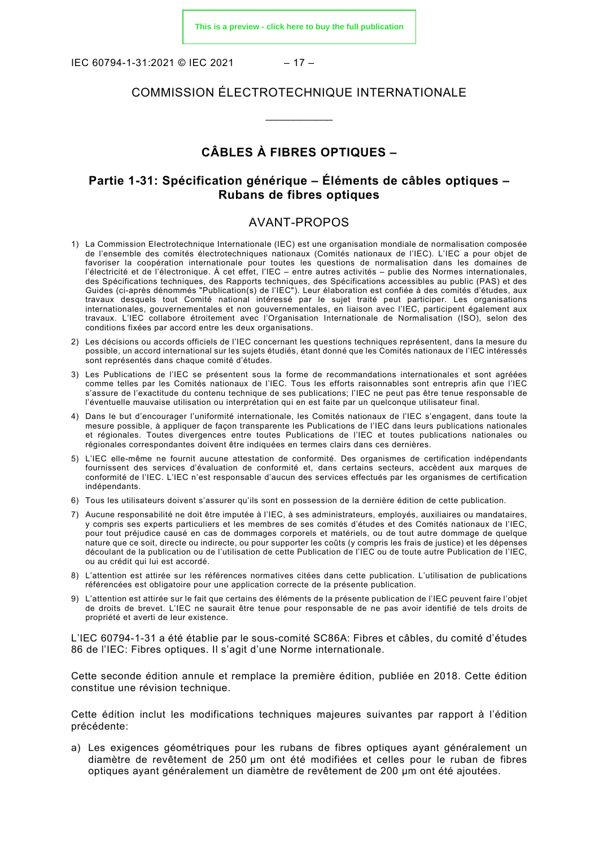IEC 60794-1-31:2021 © IEC 2021 – 17 –

#### COMMISSION ÉLECTROTECHNIQUE INTERNATIONALE

\_\_\_\_\_\_\_\_\_\_\_\_

# **CÂBLES À FIBRES OPTIQUES –**

# **Partie 1-31: Spécification générique – Éléments de câbles optiques – Rubans de fibres optiques**

#### AVANT-PROPOS

- <span id="page-6-0"></span>1) La Commission Electrotechnique Internationale (IEC) est une organisation mondiale de normalisation composée de l'ensemble des comités électrotechniques nationaux (Comités nationaux de l'IEC). L'IEC a pour objet de favoriser la coopération internationale pour toutes les questions de normalisation dans les domaines de l'électricité et de l'électronique. À cet effet, l'IEC – entre autres activités – publie des Normes internationales, des Spécifications techniques, des Rapports techniques, des Spécifications accessibles au public (PAS) et des Guides (ci-après dénommés "Publication(s) de l'IEC"). Leur élaboration est confiée à des comités d'études, aux travaux desquels tout Comité national intéressé par le sujet traité peut participer. Les organisations internationales, gouvernementales et non gouvernementales, en liaison avec l'IEC, participent également aux travaux. L'IEC collabore étroitement avec l'Organisation Internationale de Normalisation (ISO), selon des conditions fixées par accord entre les deux organisations.
- 2) Les décisions ou accords officiels de l'IEC concernant les questions techniques représentent, dans la mesure du possible, un accord international sur les sujets étudiés, étant donné que les Comités nationaux de l'IEC intéressés sont représentés dans chaque comité d'études.
- 3) Les Publications de l'IEC se présentent sous la forme de recommandations internationales et sont agréées comme telles par les Comités nationaux de l'IEC. Tous les efforts raisonnables sont entrepris afin que l'IEC s'assure de l'exactitude du contenu technique de ses publications; l'IEC ne peut pas être tenue responsable de l'éventuelle mauvaise utilisation ou interprétation qui en est faite par un quelconque utilisateur final.
- 4) Dans le but d'encourager l'uniformité internationale, les Comités nationaux de l'IEC s'engagent, dans toute la mesure possible, à appliquer de façon transparente les Publications de l'IEC dans leurs publications nationales et régionales. Toutes divergences entre toutes Publications de l'IEC et toutes publications nationales ou régionales correspondantes doivent être indiquées en termes clairs dans ces dernières.
- 5) L'IEC elle-même ne fournit aucune attestation de conformité. Des organismes de certification indépendants fournissent des services d'évaluation de conformité et, dans certains secteurs, accèdent aux marques de conformité de l'IEC. L'IEC n'est responsable d'aucun des services effectués par les organismes de certification indépendants.
- 6) Tous les utilisateurs doivent s'assurer qu'ils sont en possession de la dernière édition de cette publication.
- 7) Aucune responsabilité ne doit être imputée à l'IEC, à ses administrateurs, employés, auxiliaires ou mandataires, y compris ses experts particuliers et les membres de ses comités d'études et des Comités nationaux de l'IEC, pour tout préjudice causé en cas de dommages corporels et matériels, ou de tout autre dommage de quelque nature que ce soit, directe ou indirecte, ou pour supporter les coûts (y compris les frais de justice) et les dépenses découlant de la publication ou de l'utilisation de cette Publication de l'IEC ou de toute autre Publication de l'IEC, ou au crédit qui lui est accordé.
- 8) L'attention est attirée sur les références normatives citées dans cette publication. L'utilisation de publications référencées est obligatoire pour une application correcte de la présente publication.
- 9) L'attention est attirée sur le fait que certains des éléments de la présente publication de l'IEC peuvent faire l'objet de droits de brevet. L'IEC ne saurait être tenue pour responsable de ne pas avoir identifié de tels droits de propriété et averti de leur existence.

L'IEC 60794-1-31 a été établie par le sous-comité SC86A: Fibres et câbles, du comité d'études 86 de l'IEC: Fibres optiques. Il s'agit d'une Norme internationale.

Cette seconde édition annule et remplace la première édition, publiée en 2018. Cette édition constitue une révision technique.

Cette édition inclut les modifications techniques majeures suivantes par rapport à l'édition précédente:

a) Les exigences géométriques pour les rubans de fibres optiques ayant généralement un diamètre de revêtement de 250 µm ont été modifiées et celles pour le ruban de fibres optiques ayant généralement un diamètre de revêtement de 200 µm ont été ajoutées.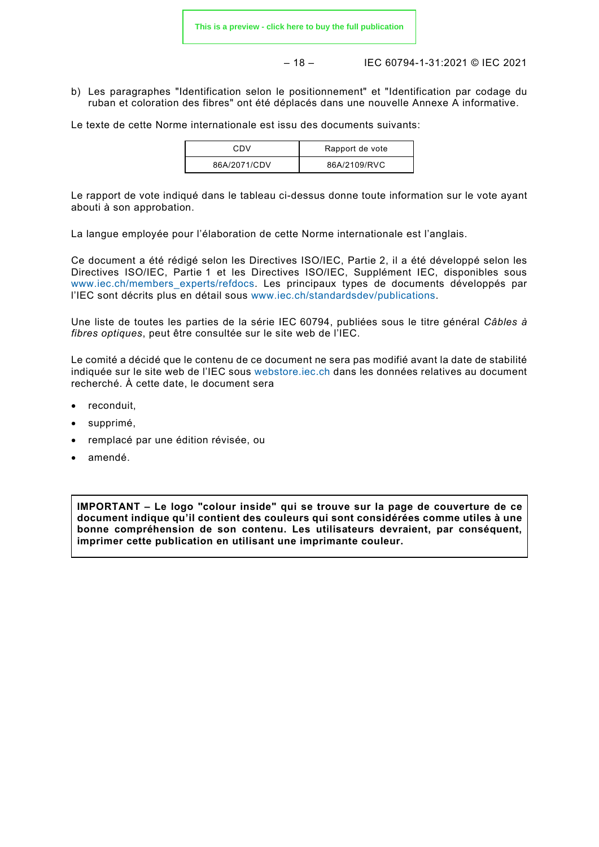– 18 – IEC 60794-1-31:2021 © IEC 2021

b) Les paragraphes "Identification selon le positionnement" et "Identification par codage du ruban et coloration des fibres" ont été déplacés dans une nouvelle Annexe A informative.

Le texte de cette Norme internationale est issu des documents suivants:

| CDV          | Rapport de vote |
|--------------|-----------------|
| 86A/2071/CDV | 86A/2109/RVC    |

Le rapport de vote indiqué dans le tableau ci-dessus donne toute information sur le vote ayant abouti à son approbation.

La langue employée pour l'élaboration de cette Norme internationale est l'anglais.

Ce document a été rédigé selon les Directives ISO/IEC, Partie 2, il a été développé selon les Directives ISO/IEC, Partie 1 et les Directives ISO/IEC, Supplément IEC, disponibles sous www.iec.ch/members experts/refdocs. Les principaux types de documents développés par l'IEC sont décrits plus en détail sous [www.iec.ch/standardsdev/publications.](http://www.iec.ch/standardsdev/publications)

Une liste de toutes les parties de la série IEC 60794, publiées sous le titre général *Câbles à fibres optiques*, peut être consultée sur le site web de l'IEC.

Le comité a décidé que le contenu de ce document ne sera pas modifié avant la date de stabilité indiquée sur le site web de l'IEC sous [webstore.iec.ch](https://webstore.iec.ch/?ref=menu) dans les données relatives au document recherché. À cette date, le document sera

- reconduit,
- supprimé,
- remplacé par une édition révisée, ou
- amendé.

**IMPORTANT – Le logo "colour inside" qui se trouve sur la page de couverture de ce document indique qu'il contient des couleurs qui sont considérées comme utiles à une bonne compréhension de son contenu. Les utilisateurs devraient, par conséquent, imprimer cette publication en utilisant une imprimante couleur.**